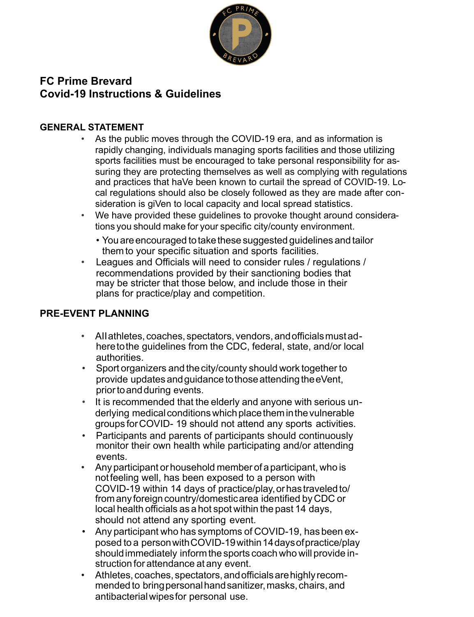

# **FC Prime Brevard Covid-19 Instructions & Guidelines**

### **GENERAL STATEMENT**

- As the public moves through the COVID-19 era, and as information is rapidly changing, individuals managing sports facilities and those utilizing sports facilities must be encouraged to take personal responsibility for assuring they are protecting themselves as well as complying with regulations and practices that haVe been known to curtail the spread of COVID-19. Local regulations should also be closely followed as they are made after consideration is giVen to local capacity and local spread statistics.
- We have provided these guidelines to provoke thought around considerations you should make for your specific city/county environment.
	- You are encouraged to take these suggested guidelines and tailor themto your specific situation and sports facilities.
- Leagues and Officials will need to consider rules / regulations / recommendations provided by their sanctioning bodies that may be stricter that those below, and include those in their plans for practice/play and competition.

# **PRE-EVENT PLANNING**

- AIIathletes, coaches, spectators, vendors,andofficialsmustadheretothe guidelines from the CDC, federal, state, and/or local authorities.
- Sport organizers and the city/county should work together to provide updates andguidance tothoseattendingtheeVent, priortoandduring events.
- It is recommended that the elderly and anyone with serious underlying medical conditions which place them in the vulnerable groups forCOVID- 19 should not attend any sports activities.
- Participants and parents of participants should continuously monitor their own health while participating and/or attending events.
- Any participant or household member of a participant, who is notfeeling well, has been exposed to a person with COVID-19 within 14 days of practice/play, or has traveled to/ from any foreign country/domestic area identified by CDC or local health officials as a hot spot within the past 14 days, should not attend any sporting event.
- Any participant who has symptoms of COVID-19, has been exposed to a personwithCOVID-19within14daysofpractice/play shouldimmediately informthe sports coach who will provide instruction for attendance at any event.
- Athletes, coaches, spectators,andofficialsarehighlyrecommended to bring personal hand sanitizer, masks, chairs, and antibacterialwipesfor personal use.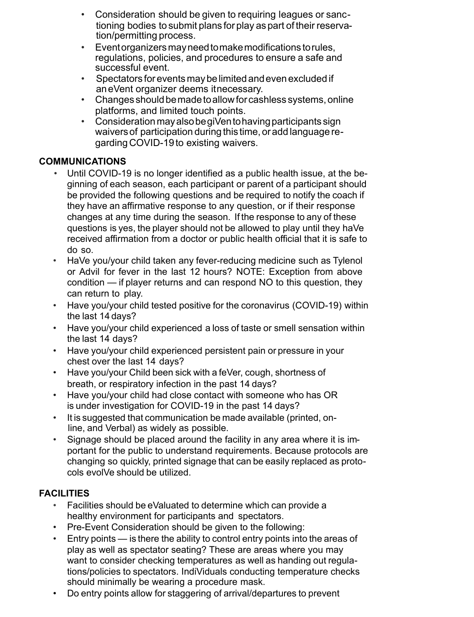- Consideration should be given to requiring leagues or sanctioning bodies to submit plans for play as part of their reservation/permitting process.
- Eventorganizersmayneedtomakemodifications torules, regulations, policies, and procedures to ensure a safe and successful event.
- Spectators forevents maybelimited andevenexcluded if aneVent organizer deems itnecessary.
- Changes shouldbemadetoallowforcashless systems,online platforms, and limited touch points.
- ConsiderationmayalsobegiVentohavingparticipants sign waiversof participation during this time, oradd language regarding COVID-19 to existing waivers.

### **COMMUNICATIONS**

- Until COVID-19 is no longer identified as a public health issue, at the beginning of each season, each participant or parent of a participant should be provided the following questions and be required to notify the coach if they have an affirmative response to any question, or if their response changes at any time during the season. If the response to any of these questions is yes, the player should not be allowed to play until they haVe received affirmation from a doctor or public health official that it is safe to do so.
- HaVe you/your child taken any fever-reducing medicine such as Tylenol or Advil for fever in the last 12 hours? NOTE: Exception from above condition — if player returns and can respond NO to this question, they can return to play.
- Have you/your child tested positive for the coronavirus (COVID-19) within the last 14 days?
- Have you/your child experienced a loss of taste or smell sensation within the last 14 days?
- Have you/your child experienced persistent pain or pressure in your chest over the last 14 days?
- Have you/your Child been sick with a feVer, cough, shortness of breath, or respiratory infection in the past 14 days?
- Have you/your child had close contact with someone who has OR is under investigation for COVID-19 in the past 14 days?
- It is suggested that communication be made available (printed, online, and Verbal) as widely as possible.
- Signage should be placed around the facility in any area where it is important for the public to understand requirements. Because protocols are changing so quickly, printed signage that can be easily replaced as protocols evolVe should be utilized.

# **FACILITIES**

- Facilities should be eValuated to determine which can provide a healthy environment for participants and spectators.
- Pre-Event Consideration should be given to the following:
- Entry points is there the ability to control entry points into the areas of play as well as spectator seating? These are areas where you may want to consider checking temperatures as well as handing out regulations/policies to spectators. IndiViduals conducting temperature checks should minimally be wearing a procedure mask.
- Do entry points allow for staggering of arrival/departures to prevent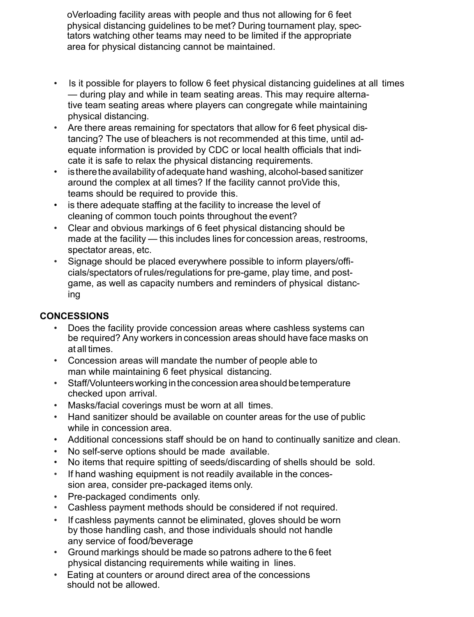oVerloading facility areas with people and thus not allowing for 6 feet physical distancing guidelines to be met? During tournament play, spectators watching other teams may need to be limited if the appropriate area for physical distancing cannot be maintained.

- Is it possible for players to follow 6 feet physical distancing guidelines at all times — during play and while in team seating areas. This may require alternative team seating areas where players can congregate while maintaining physical distancing.
- Are there areas remaining for spectators that allow for 6 feet physical distancing? The use of bleachers is not recommended at this time, until adequate information is provided by CDC or local health officials that indicate it is safe to relax the physical distancing requirements.
- is there the availability of adequate hand washing, alcohol-based sanitizer around the complex at all times? If the facility cannot proVide this, teams should be required to provide this.
- is there adequate staffing at the facility to increase the level of cleaning of common touch points throughout the event?
- Clear and obvious markings of 6 feet physical distancing should be made at the facility — this includes lines for concession areas, restrooms, spectator areas, etc.
- Signage should be placed everywhere possible to inform players/officials/spectators ofrules/regulations for pre-game, play time, and postgame, as well as capacity numbers and reminders of physical distancing

# **CONCESSIONS**

- Does the facility provide concession areas where cashless systems can be required? Any workers in concession areas should have face masks on at all times.
- Concession areas will mandate the number of people able to man while maintaining 6 feet physical distancing.
- Staff/Volunteers working in the concession area should be temperature checked upon arrival.
- Masks/facial coverings must be worn at all times.
- Hand sanitizer should be available on counter areas for the use of public while in concession area.
- Additional concessions staff should be on hand to continually sanitize and clean.
- No self-serve options should be made available.
- No items that require spitting of seeds/discarding of shells should be sold.
- If hand washing equipment is not readily available in the concession area, consider pre-packaged items only.
- Pre-packaged condiments only.
- Cashless payment methods should be considered if not required.
- If cashless payments cannot be eliminated, gloves should be worn by those handling cash, and those individuals should not handle any service of food/beverage
- Ground markings should be made so patrons adhere to the 6 feet physical distancing requirements while waiting in lines.
- Eating at counters or around direct area of the concessions should not be allowed.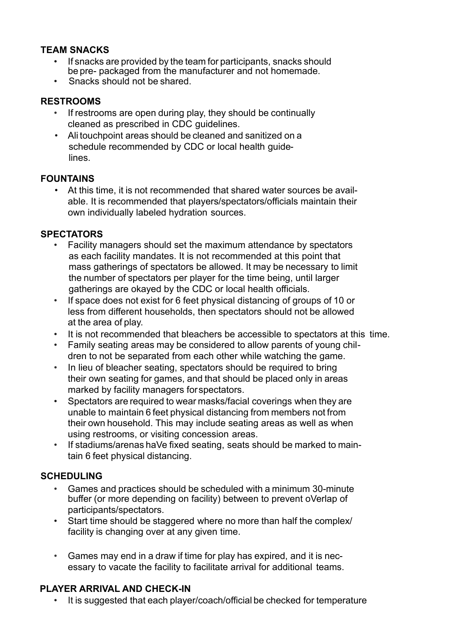#### **TEAM SNACKS**

- If snacks are provided by the team for participants, snacks should be pre- packaged from the manufacturer and not homemade.
- Snacks should not be shared.

#### **RESTROOMS**

- If restrooms are open during play, they should be continually cleaned as prescribed in CDC guidelines.
- Ali touchpoint areas should be cleaned and sanitized on a schedule recommended by CDC or local health guidelines.

### **FOUNTAINS**

At this time, it is not recommended that shared water sources be available. It is recommended that players/spectators/officials maintain their own individually labeled hydration sources.

#### **SPECTATORS**

- Facility managers should set the maximum attendance by spectators as each facility mandates. It is not recommended at this point that mass gatherings of spectators be allowed. It may be necessary to limit the number of spectators per player for the time being, until larger gatherings are okayed by the CDC or local health officials.
- If space does not exist for 6 feet physical distancing of groups of 10 or less from different households, then spectators should not be allowed at the area of play.
- It is not recommended that bleachers be accessible to spectators at this time.
- Family seating areas may be considered to allow parents of young children to not be separated from each other while watching the game.
- In lieu of bleacher seating, spectators should be required to bring their own seating for games, and that should be placed only in areas marked by facility managers forspectators.
- Spectators are required to wear masks/facial coverings when they are unable to maintain 6 feet physical distancing from members not from their own household. This may include seating areas as well as when using restrooms, or visiting concession areas.
- If stadiums/arenas haVe fixed seating, seats should be marked to maintain 6 feet physical distancing.

### **SCHEDULING**

- Games and practices should be scheduled with a minimum 30-minute buffer (or more depending on facility) between to prevent oVerlap of participants/spectators.
- Start time should be staggered where no more than half the complex/ facility is changing over at any given time.
- Games may end in a draw if time for play has expired, and it is necessary to vacate the facility to facilitate arrival for additional teams.

### **PLAYER ARRIVAL AND CHECK-IN**

• It is suggested that each player/coach/official be checked for temperature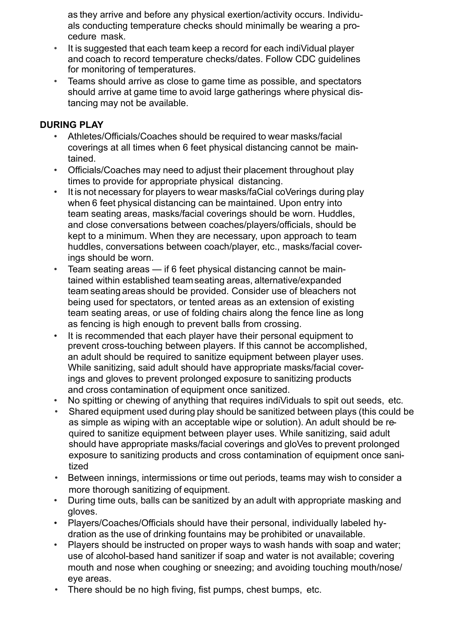as they arrive and before any physical exertion/activity occurs. Individuals conducting temperature checks should minimally be wearing a procedure mask.

- It is suggested that each team keep a record for each indiVidual player and coach to record temperature checks/dates. Follow CDC guidelines for monitoring of temperatures.
- Teams should arrive as close to game time as possible, and spectators should arrive at game time to avoid large gatherings where physical distancing may not be available.

### **DURING PLAY**

- Athletes/Officials/Coaches should be required to wear masks/facial coverings at all times when 6 feet physical distancing cannot be maintained.
- Officials/Coaches may need to adjust their placement throughout play times to provide for appropriate physical distancing.
- It is not necessary for players to wear masks/faCial coVerings during play when 6 feet physical distancing can be maintained. Upon entry into team seating areas, masks/facial coverings should be worn. Huddles, and close conversations between coaches/players/officials, should be kept to a minimum. When they are necessary, upon approach to team huddles, conversations between coach/player, etc., masks/facial coverings should be worn.
- Team seating areas if 6 feet physical distancing cannot be maintained within established teamseating areas, alternative/expanded team seating areas should be provided. Consider use of bleachers not being used for spectators, or tented areas as an extension of existing team seating areas, or use of folding chairs along the fence line as long as fencing is high enough to prevent balls from crossing.
- It is recommended that each player have their personal equipment to prevent cross-touching between players. If this cannot be accomplished, an adult should be required to sanitize equipment between player uses. While sanitizing, said adult should have appropriate masks/facial coverings and gloves to prevent prolonged exposure to sanitizing products and cross contamination of equipment once sanitized.
- No spitting or chewing of anything that requires indiViduals to spit out seeds, etc.
- Shared equipment used during play should be sanitized between plays (this could be as simple as wiping with an acceptable wipe or solution). An adult should be required to sanitize equipment between player uses. While sanitizing, said adult should have appropriate masks/facial coverings and gloVes to prevent prolonged exposure to sanitizing products and cross contamination of equipment once sanitized
- Between innings, intermissions or time out periods, teams may wish to consider a more thorough sanitizing of equipment.
- During time outs, balls can be sanitized by an adult with appropriate masking and gloves.
- Players/Coaches/Officials should have their personal, individually labeled hydration as the use of drinking fountains may be prohibited or unavailable.
- Players should be instructed on proper ways to wash hands with soap and water; use of alcohol-based hand sanitizer if soap and water is not available; covering mouth and nose when coughing or sneezing; and avoiding touching mouth/nose/ eye areas.
- There should be no high fiving, fist pumps, chest bumps, etc.